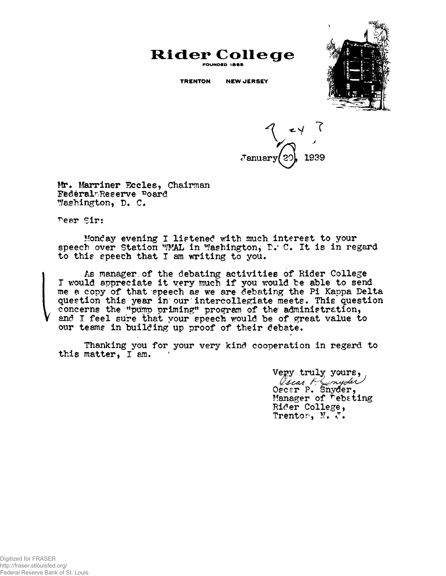

## **Rider College FOUNDED Ie6S**

**TRENTON NEW JERSEY**

**7** 1939

Mr. Marriner Eccles, Chairman FederalmReserve Poard Washington, D. C

Pear Sir:

Monday evening I listened with much interest to your speech over Station WMAL in Washington, D. C. It is in regard to this speech that I am writing to you.

As manager, of the debating activities of Rider College T would appreciate it very much if you would be able to send me a copy of that speech as we are debating the Pi Kappa Delta question this year in our intercollegiate meets. This question concerns the "pump priming" program of the administration, and I feel sure that your speech would be of great value to our teams in building up proof of their debate.

Thanking you for your very kind cooperation in regard to this matter, I am.

> Vepy truly yours,<br>*Gical ( myder*,<br>Oscer P. Snyder, Manager of rebating Rider College, Trentor, N. J.